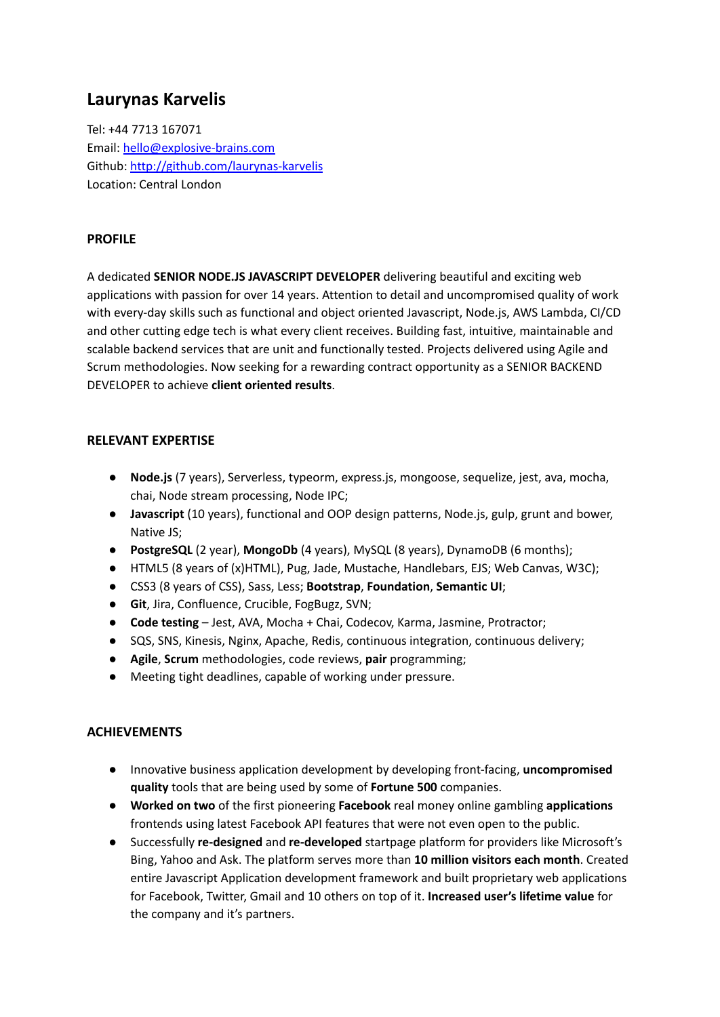# **Laurynas Karvelis**

Tel: +44 7713 167071 Email: [hello@explosive-brains.com](mailto:hello@explosive-brains.com) Github: <http://github.com/laurynas-karvelis> Location: Central London

### **PROFILE**

A dedicated **SENIOR NODE.JS JAVASCRIPT DEVELOPER** delivering beautiful and exciting web applications with passion for over 14 years. Attention to detail and uncompromised quality of work with every-day skills such as functional and object oriented Javascript, Node.js, AWS Lambda, CI/CD and other cutting edge tech is what every client receives. Building fast, intuitive, maintainable and scalable backend services that are unit and functionally tested. Projects delivered using Agile and Scrum methodologies. Now seeking for a rewarding contract opportunity as a SENIOR BACKEND DEVELOPER to achieve **client oriented results**.

### **RELEVANT EXPERTISE**

- **Node.js** (7 years), Serverless, typeorm, express.js, mongoose, sequelize, jest, ava, mocha, chai, Node stream processing, Node IPC;
- **Javascript** (10 years), functional and OOP design patterns, Node.js, gulp, grunt and bower, Native JS;
- **PostgreSQL** (2 year), **MongoDb** (4 years), MySQL (8 years), DynamoDB (6 months);
- HTML5 (8 years of (x)HTML), Pug, Jade, Mustache, Handlebars, EJS; Web Canvas, W3C);
- CSS3 (8 years of CSS), Sass, Less; **Bootstrap**, **Foundation**, **Semantic UI**;
- **Git**, Jira, Confluence, Crucible, FogBugz, SVN;
- **Code testing** Jest, AVA, Mocha + Chai, Codecov, Karma, Jasmine, Protractor;
- SQS, SNS, Kinesis, Nginx, Apache, Redis, continuous integration, continuous delivery;
- **Agile**, **Scrum** methodologies, code reviews, **pair** programming;
- Meeting tight deadlines, capable of working under pressure.

### **ACHIEVEMENTS**

- Innovative business application development by developing front-facing, **uncompromised quality** tools that are being used by some of **Fortune 500** companies.
- **Worked on two** of the first pioneering **Facebook** real money online gambling **applications** frontends using latest Facebook API features that were not even open to the public.
- Successfully **re-designed** and **re-developed** startpage platform for providers like Microsoft's Bing, Yahoo and Ask. The platform serves more than **10 million visitors each month**. Created entire Javascript Application development framework and built proprietary web applications for Facebook, Twitter, Gmail and 10 others on top of it. **Increased user's lifetime value** for the company and it's partners.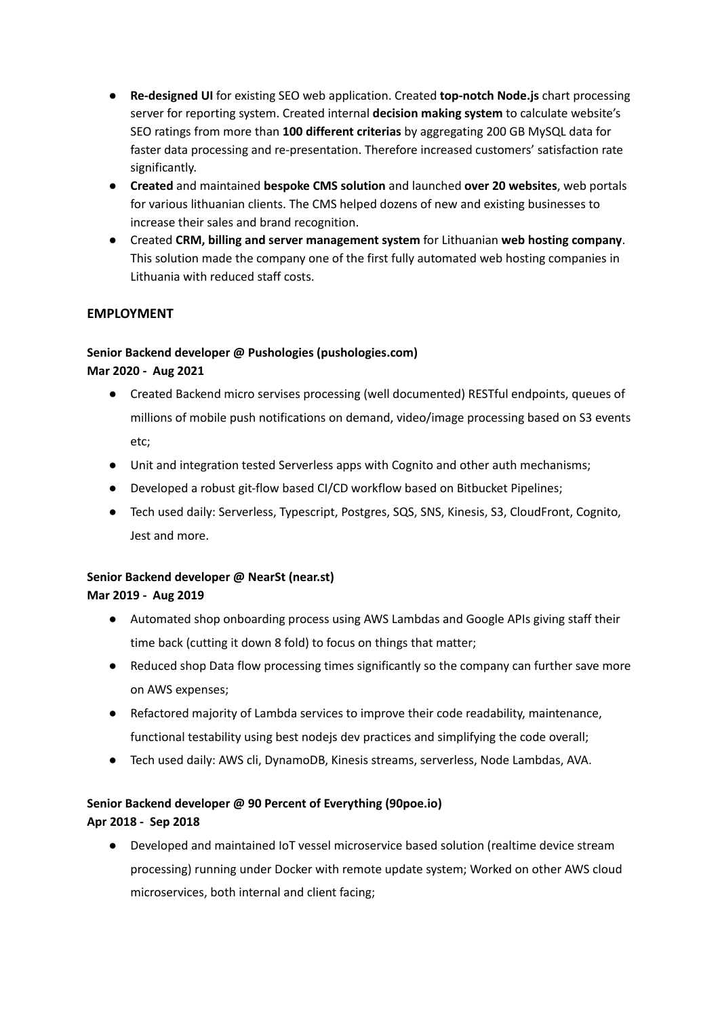- **Re-designed UI** for existing SEO web application. Created **top-notch Node.js** chart processing server for reporting system. Created internal **decision making system** to calculate website's SEO ratings from more than **100 different criterias** by aggregating 200 GB MySQL data for faster data processing and re-presentation. Therefore increased customers' satisfaction rate significantly.
- **Created** and maintained **bespoke CMS solution** and launched **over 20 websites**, web portals for various lithuanian clients. The CMS helped dozens of new and existing businesses to increase their sales and brand recognition.
- Created **CRM, billing and server management system** for Lithuanian **web hosting company**. This solution made the company one of the first fully automated web hosting companies in Lithuania with reduced staff costs.

## **EMPLOYMENT**

# **Senior Backend developer @ Pushologies (pushologies.com) Mar 2020 - Aug 2021**

- Created Backend micro servises processing (well documented) RESTful endpoints, queues of millions of mobile push notifications on demand, video/image processing based on S3 events etc;
- Unit and integration tested Serverless apps with Cognito and other auth mechanisms;
- Developed a robust git-flow based CI/CD workflow based on Bitbucket Pipelines;
- Tech used daily: Serverless, Typescript, Postgres, SQS, SNS, Kinesis, S3, CloudFront, Cognito, Jest and more.

## **Senior Backend developer @ NearSt (near.st) Mar 2019 - Aug 2019**

- Automated shop onboarding process using AWS Lambdas and Google APIs giving staff their time back (cutting it down 8 fold) to focus on things that matter;
- Reduced shop Data flow processing times significantly so the company can further save more on AWS expenses;
- Refactored majority of Lambda services to improve their code readability, maintenance, functional testability using best nodejs dev practices and simplifying the code overall;
- Tech used daily: AWS cli, DynamoDB, Kinesis streams, serverless, Node Lambdas, AVA.

# **Senior Backend developer @ 90 Percent of Everything (90poe.io) Apr 2018 - Sep 2018**

● Developed and maintained IoT vessel microservice based solution (realtime device stream processing) running under Docker with remote update system; Worked on other AWS cloud microservices, both internal and client facing;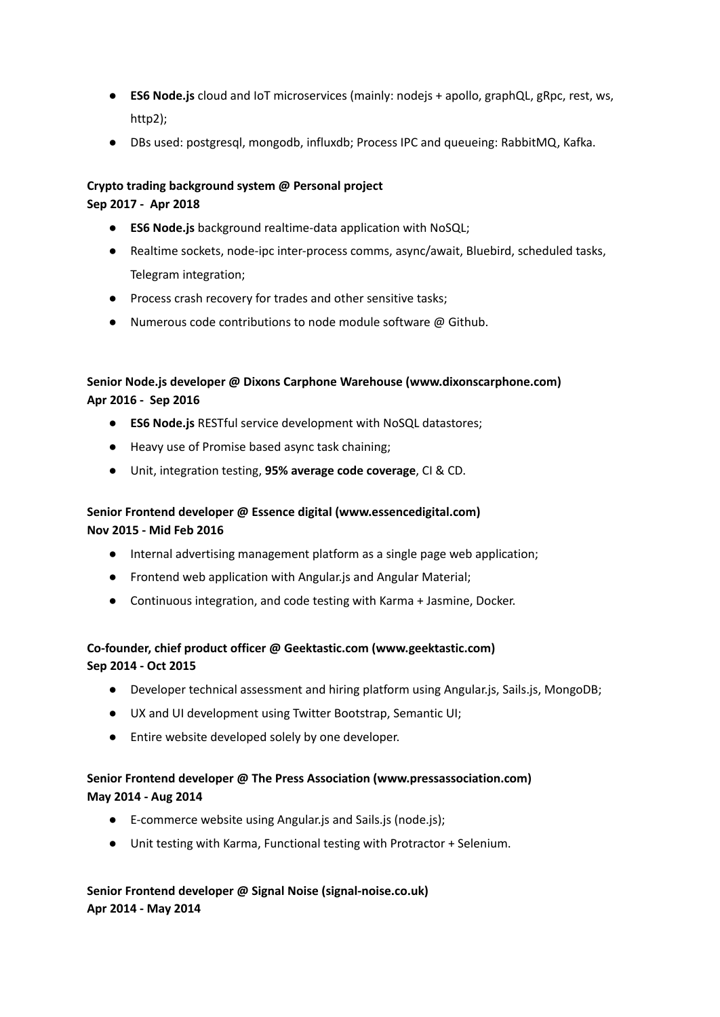- **ES6 Node.js** cloud and IoT microservices (mainly: nodejs + apollo, graphQL, gRpc, rest, ws, http2);
- DBs used: postgresql, mongodb, influxdb; Process IPC and queueing: RabbitMQ, Kafka.

# **Crypto trading background system @ Personal project**

### **Sep 2017 - Apr 2018**

- **ES6 Node.js** background realtime-data application with NoSQL;
- Realtime sockets, node-ipc inter-process comms, async/await, Bluebird, scheduled tasks, Telegram integration;
- Process crash recovery for trades and other sensitive tasks;
- Numerous code contributions to node module software @ Github.

# **Senior Node.js developer @ Dixons Carphone Warehouse (www.dixonscarphone.com) Apr 2016 - Sep 2016**

- **ES6 Node.js** RESTful service development with NoSQL datastores;
- Heavy use of Promise based async task chaining;
- Unit, integration testing, **95% average code coverage**, CI & CD.

# **Senior Frontend developer @ Essence digital (www.essencedigital.com) Nov 2015 - Mid Feb 2016**

- Internal advertising management platform as a single page web application;
- Frontend web application with Angular.js and Angular Material;
- Continuous integration, and code testing with Karma + Jasmine, Docker.

# **Co-founder, chief product officer @ Geektastic.com (www.geektastic.com) Sep 2014 - Oct 2015**

- Developer technical assessment and hiring platform using Angular.js, Sails.js, MongoDB;
- UX and UI development using Twitter Bootstrap, Semantic UI;
- Entire website developed solely by one developer.

# **Senior Frontend developer @ The Press Association (www.pressassociation.com) May 2014 - Aug 2014**

- E-commerce website using Angular.js and Sails.js (node.js);
- Unit testing with Karma, Functional testing with Protractor + Selenium.

# **Senior Frontend developer @ Signal Noise (signal-noise.co.uk) Apr 2014 - May 2014**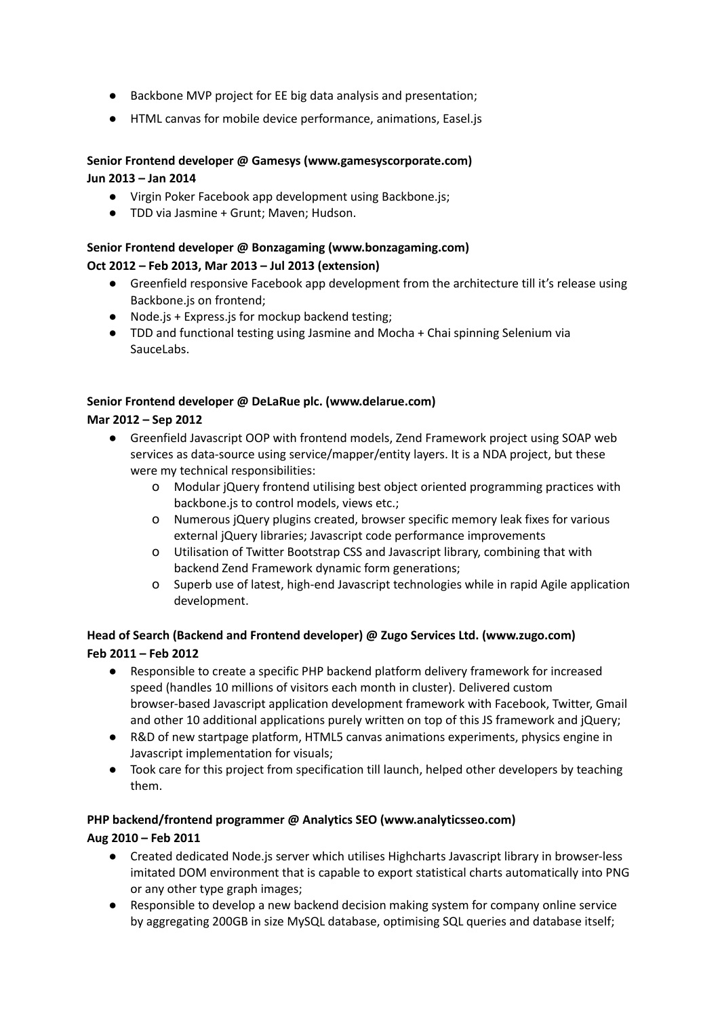- Backbone MVP project for EE big data analysis and presentation;
- HTML canvas for mobile device performance, animations, Easel.js

### **Senior Frontend developer @ Gamesys (www.gamesyscorporate.com) Jun 2013 – Jan 2014**

- Virgin Poker Facebook app development using Backbone.js;
- TDD via Jasmine + Grunt; Maven; Hudson.

### **Senior Frontend developer @ Bonzagaming (www.bonzagaming.com) Oct 2012 – Feb 2013, Mar 2013 – Jul 2013 (extension)**

- Greenfield responsive Facebook app development from the architecture till it's release using Backbone.js on frontend;
- Node.js + Express.js for mockup backend testing;
- TDD and functional testing using Jasmine and Mocha + Chai spinning Selenium via SauceLabs.

#### **Senior Frontend developer @ DeLaRue plc. (www.delarue.com)**

#### **Mar 2012 – Sep 2012**

- Greenfield Javascript OOP with frontend models, Zend Framework project using SOAP web services as data-source using service/mapper/entity layers. It is a NDA project, but these were my technical responsibilities:
	- o Modular jQuery frontend utilising best object oriented programming practices with backbone.js to control models, views etc.;
	- o Numerous jQuery plugins created, browser specific memory leak fixes for various external jQuery libraries; Javascript code performance improvements
	- o Utilisation of Twitter Bootstrap CSS and Javascript library, combining that with backend Zend Framework dynamic form generations;
	- o Superb use of latest, high-end Javascript technologies while in rapid Agile application development.

## **Head of Search (Backend and Frontend developer) @ Zugo Services Ltd. (www.zugo.com) Feb 2011 – Feb 2012**

- Responsible to create a specific PHP backend platform delivery framework for increased speed (handles 10 millions of visitors each month in cluster). Delivered custom browser-based Javascript application development framework with Facebook, Twitter, Gmail and other 10 additional applications purely written on top of this JS framework and jQuery;
- R&D of new startpage platform, HTML5 canvas animations experiments, physics engine in Javascript implementation for visuals;
- Took care for this project from specification till launch, helped other developers by teaching them.

#### **PHP backend/frontend programmer @ Analytics SEO (www.analyticsseo.com)**

### **Aug 2010 – Feb 2011**

- Created dedicated Node.js server which utilises Highcharts Javascript library in browser-less imitated DOM environment that is capable to export statistical charts automatically into PNG or any other type graph images;
- Responsible to develop a new backend decision making system for company online service by aggregating 200GB in size MySQL database, optimising SQL queries and database itself;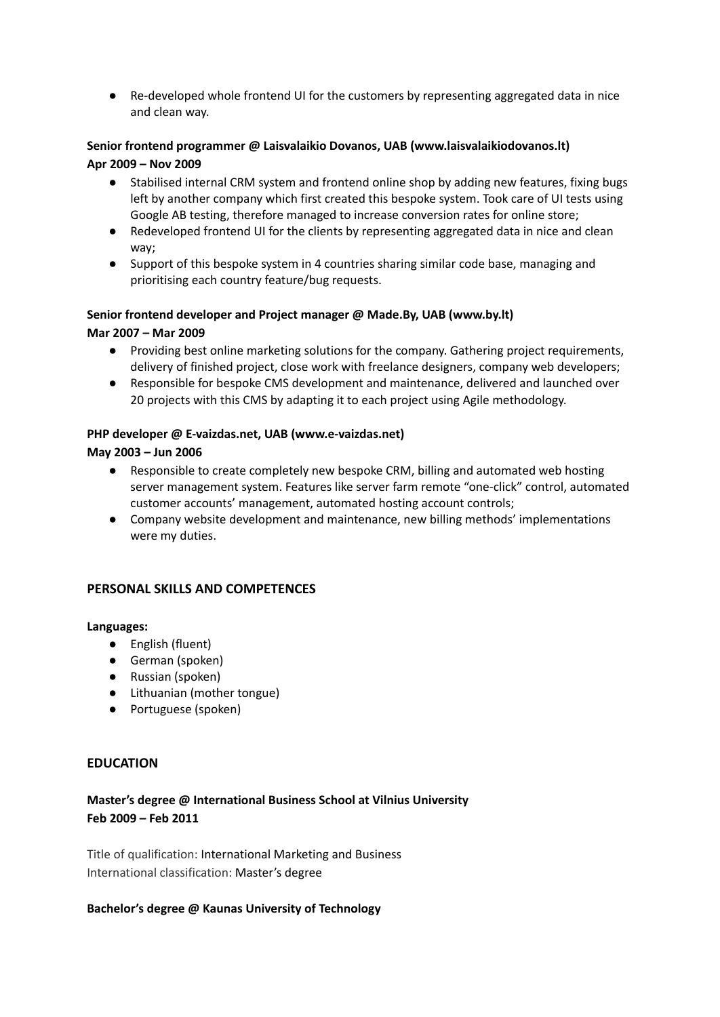● Re-developed whole frontend UI for the customers by representing aggregated data in nice and clean way.

### **Senior frontend programmer @ Laisvalaikio Dovanos, UAB (www.laisvalaikiodovanos.lt) Apr 2009 – Nov 2009**

- Stabilised internal CRM system and frontend online shop by adding new features, fixing bugs left by another company which first created this bespoke system. Took care of UI tests using Google AB testing, therefore managed to increase conversion rates for online store;
- Redeveloped frontend UI for the clients by representing aggregated data in nice and clean way;
- Support of this bespoke system in 4 countries sharing similar code base, managing and prioritising each country feature/bug requests.

## **Senior frontend developer and Project manager @ Made.By, UAB (www.by.lt) Mar 2007 – Mar 2009**

- Providing best online marketing solutions for the company. Gathering project requirements, delivery of finished project, close work with freelance designers, company web developers;
- Responsible for bespoke CMS development and maintenance, delivered and launched over 20 projects with this CMS by adapting it to each project using Agile methodology.

### **PHP developer @ E-vaizdas.net, UAB (www.e-vaizdas.net)**

### **May 2003 – Jun 2006**

- Responsible to create completely new bespoke CRM, billing and automated web hosting server management system. Features like server farm remote "one-click" control, automated customer accounts' management, automated hosting account controls;
- Company website development and maintenance, new billing methods' implementations were my duties.

### **PERSONAL SKILLS AND COMPETENCES**

#### **Languages:**

- English (fluent)
- German (spoken)
- Russian (spoken)
- Lithuanian (mother tongue)
- Portuguese (spoken)

### **EDUCATION**

## **Master's degree @ International Business School at Vilnius University Feb 2009 – Feb 2011**

Title of qualification: International Marketing and Business International classification: Master's degree

#### **Bachelor's degree @ Kaunas University of Technology**